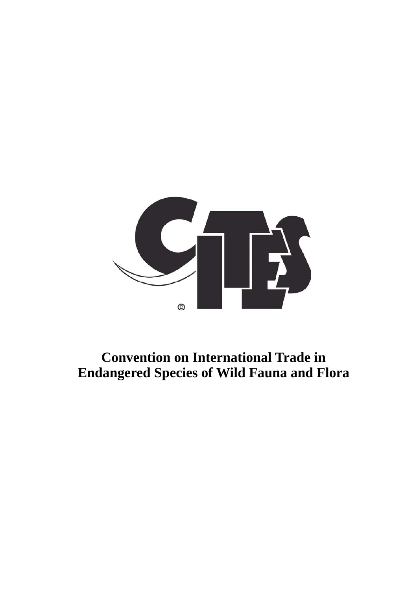

# **Convention on International Trade in Endangered Species of Wild Fauna and Flora**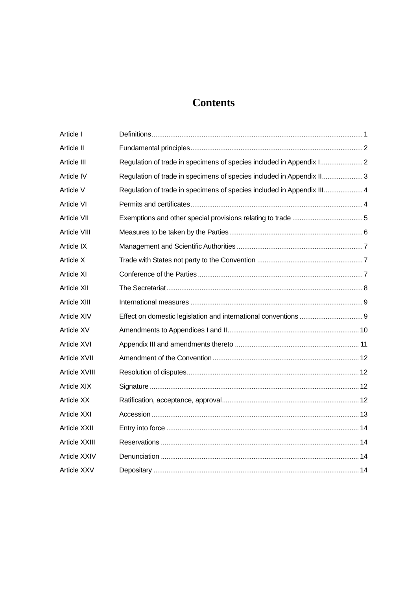## **Contents**

| Article I           |                                                                        |  |
|---------------------|------------------------------------------------------------------------|--|
| Article II          |                                                                        |  |
| Article III         | Regulation of trade in specimens of species included in Appendix I 2   |  |
| Article IV          | Regulation of trade in specimens of species included in Appendix II 3  |  |
| Article V           | Regulation of trade in specimens of species included in Appendix III 4 |  |
| Article VI          |                                                                        |  |
| Article VII         |                                                                        |  |
| Article VIII        |                                                                        |  |
| Article IX          |                                                                        |  |
| Article X           |                                                                        |  |
| <b>Article XI</b>   |                                                                        |  |
| Article XII         |                                                                        |  |
| Article XIII        |                                                                        |  |
| <b>Article XIV</b>  |                                                                        |  |
| Article XV          |                                                                        |  |
| Article XVI         |                                                                        |  |
| <b>Article XVII</b> |                                                                        |  |
| Article XVIII       |                                                                        |  |
| <b>Article XIX</b>  |                                                                        |  |
| Article XX          |                                                                        |  |
| <b>Article XXI</b>  |                                                                        |  |
| <b>Article XXII</b> |                                                                        |  |
| Article XXIII       |                                                                        |  |
| Article XXIV        |                                                                        |  |
| Article XXV         |                                                                        |  |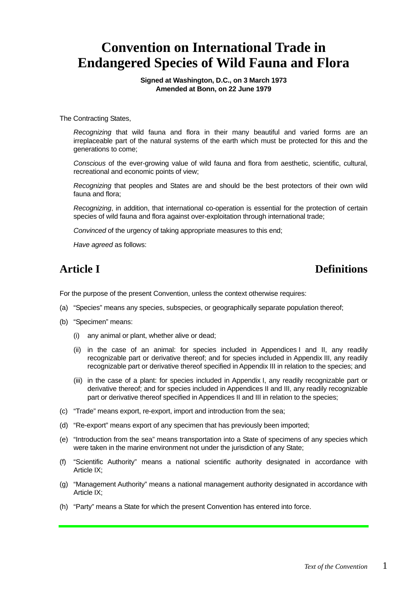# **Convention on International Trade in Endangered Species of Wild Fauna and Flora**

## **Signed at Washington, D.C., on 3 March 1973 Amended at Bonn, on 22 June 1979**

The Contracting States,

 *Recognizing* that wild fauna and flora in their many beautiful and varied forms are an irreplaceable part of the natural systems of the earth which must be protected for this and the generations to come;

 *Conscious* of the ever-growing value of wild fauna and flora from aesthetic, scientific, cultural, recreational and economic points of view;

 *Recognizing* that peoples and States are and should be the best protectors of their own wild fauna and flora;

 *Recognizing*, in addition, that international co-operation is essential for the protection of certain species of wild fauna and flora against over-exploitation through international trade;

 *Convinced* of the urgency of taking appropriate measures to this end;

 *Have agreed* as follows:

## <span id="page-2-0"></span>**Article I Definitions**

For the purpose of the present Convention, unless the context otherwise requires:

- (a) "Species" means any species, subspecies, or geographically separate population thereof;
- (b) "Specimen" means:
	- (i) any animal or plant, whether alive or dead;
	- (ii) in the case of an animal: for species included in Appendices I and II, any readily recognizable part or derivative thereof; and for species included in Appendix III, any readily recognizable part or derivative thereof specified in Appendix III in relation to the species; and
	- (iii) in the case of a plant: for species included in Appendix I, any readily recognizable part or derivative thereof; and for species included in Appendices II and III, any readily recognizable part or derivative thereof specified in Appendices II and III in relation to the species;
- (c) "Trade" means export, re-export, import and introduction from the sea;
- (d) "Re-export" means export of any specimen that has previously been imported;
- (e) "Introduction from the sea" means transportation into a State of specimens of any species which were taken in the marine environment not under the jurisdiction of any State;
- (f) "Scientific Authority" means a national scientific authority designated in accordance with Article IX;
- (g) "Management Authority" means a national management authority designated in accordance with Article IX;
- (h) "Party" means a State for which the present Convention has entered into force.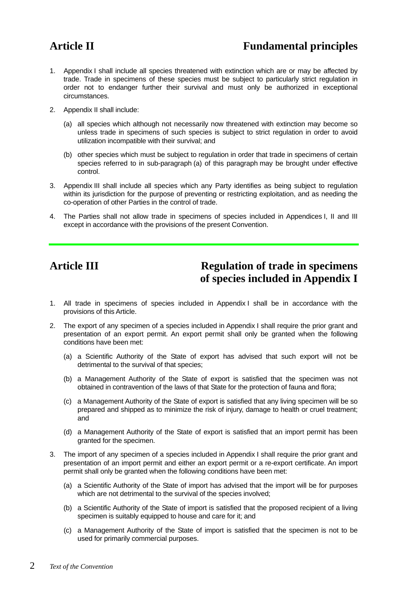## <span id="page-3-0"></span>**Article II** Fundamental principles

- 1. Appendix I shall include all species threatened with extinction which are or may be affected by trade. Trade in specimens of these species must be subject to particularly strict regulation in order not to endanger further their survival and must only be authorized in exceptional circumstances.
- 2. Appendix II shall include:
	- (a) all species which although not necessarily now threatened with extinction may become so unless trade in specimens of such species is subject to strict regulation in order to avoid utilization incompatible with their survival; and
	- (b) other species which must be subject to regulation in order that trade in specimens of certain species referred to in sub-paragraph (a) of this paragraph may be brought under effective control.
- 3. Appendix III shall include all species which any Party identifies as being subject to regulation within its jurisdiction for the purpose of preventing or restricting exploitation, and as needing the co-operation of other Parties in the control of trade.
- 4. The Parties shall not allow trade in specimens of species included in Appendices I, II and III except in accordance with the provisions of the present Convention.

## <span id="page-3-1"></span>**Article III Regulation of trade in specimens of species included in Appendix I**

- 1. All trade in specimens of species included in Appendix I shall be in accordance with the provisions of this Article.
- 2. The export of any specimen of a species included in Appendix I shall require the prior grant and presentation of an export permit. An export permit shall only be granted when the following conditions have been met:
	- (a) a Scientific Authority of the State of export has advised that such export will not be detrimental to the survival of that species;
	- (b) a Management Authority of the State of export is satisfied that the specimen was not obtained in contravention of the laws of that State for the protection of fauna and flora;
	- (c) a Management Authority of the State of export is satisfied that any living specimen will be so prepared and shipped as to minimize the risk of injury, damage to health or cruel treatment; and
	- (d) a Management Authority of the State of export is satisfied that an import permit has been granted for the specimen.
- 3. The import of any specimen of a species included in Appendix I shall require the prior grant and presentation of an import permit and either an export permit or a re-export certificate. An import permit shall only be granted when the following conditions have been met:
	- (a) a Scientific Authority of the State of import has advised that the import will be for purposes which are not detrimental to the survival of the species involved;
	- (b) a Scientific Authority of the State of import is satisfied that the proposed recipient of a living specimen is suitably equipped to house and care for it; and
	- (c) a Management Authority of the State of import is satisfied that the specimen is not to be used for primarily commercial purposes.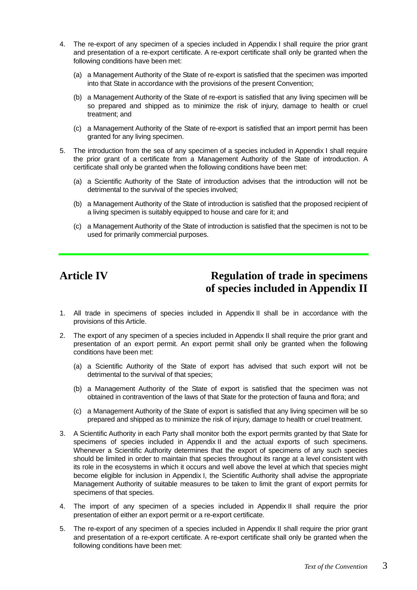- 4. The re-export of any specimen of a species included in Appendix I shall require the prior grant and presentation of a re-export certificate. A re-export certificate shall only be granted when the following conditions have been met:
	- (a) a Management Authority of the State of re-export is satisfied that the specimen was imported into that State in accordance with the provisions of the present Convention;
	- (b) a Management Authority of the State of re-export is satisfied that any living specimen will be so prepared and shipped as to minimize the risk of injury, damage to health or cruel treatment; and
	- (c) a Management Authority of the State of re-export is satisfied that an import permit has been granted for any living specimen.
- 5. The introduction from the sea of any specimen of a species included in Appendix I shall require the prior grant of a certificate from a Management Authority of the State of introduction. A certificate shall only be granted when the following conditions have been met:
	- (a) a Scientific Authority of the State of introduction advises that the introduction will not be detrimental to the survival of the species involved;
	- (b) a Management Authority of the State of introduction is satisfied that the proposed recipient of a living specimen is suitably equipped to house and care for it; and
	- (c) a Management Authority of the State of introduction is satisfied that the specimen is not to be used for primarily commercial purposes.

## <span id="page-4-0"></span>**Article IV Regulation of trade in specimens of species included in Appendix II**

- 1. All trade in specimens of species included in Appendix II shall be in accordance with the provisions of this Article.
- 2. The export of any specimen of a species included in Appendix II shall require the prior grant and presentation of an export permit. An export permit shall only be granted when the following conditions have been met:
	- (a) a Scientific Authority of the State of export has advised that such export will not be detrimental to the survival of that species;
	- (b) a Management Authority of the State of export is satisfied that the specimen was not obtained in contravention of the laws of that State for the protection of fauna and flora; and
	- (c) a Management Authority of the State of export is satisfied that any living specimen will be so prepared and shipped as to minimize the risk of injury, damage to health or cruel treatment.
- 3. A Scientific Authority in each Party shall monitor both the export permits granted by that State for specimens of species included in Appendix II and the actual exports of such specimens. Whenever a Scientific Authority determines that the export of specimens of any such species should be limited in order to maintain that species throughout its range at a level consistent with its role in the ecosystems in which it occurs and well above the level at which that species might become eligible for inclusion in Appendix I, the Scientific Authority shall advise the appropriate Management Authority of suitable measures to be taken to limit the grant of export permits for specimens of that species.
- 4. The import of any specimen of a species included in Appendix II shall require the prior presentation of either an export permit or a re-export certificate.
- 5. The re-export of any specimen of a species included in Appendix II shall require the prior grant and presentation of a re-export certificate. A re-export certificate shall only be granted when the following conditions have been met: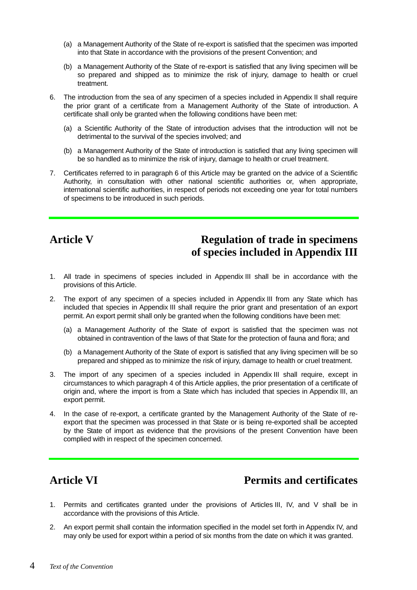- (a) a Management Authority of the State of re-export is satisfied that the specimen was imported into that State in accordance with the provisions of the present Convention; and
- (b) a Management Authority of the State of re-export is satisfied that any living specimen will be so prepared and shipped as to minimize the risk of injury, damage to health or cruel treatment.
- 6. The introduction from the sea of any specimen of a species included in Appendix II shall require the prior grant of a certificate from a Management Authority of the State of introduction. A certificate shall only be granted when the following conditions have been met:
	- (a) a Scientific Authority of the State of introduction advises that the introduction will not be detrimental to the survival of the species involved; and
	- (b) a Management Authority of the State of introduction is satisfied that any living specimen will be so handled as to minimize the risk of injury, damage to health or cruel treatment.
- 7. Certificates referred to in paragraph 6 of this Article may be granted on the advice of a Scientific Authority, in consultation with other national scientific authorities or, when appropriate, international scientific authorities, in respect of periods not exceeding one year for total numbers of specimens to be introduced in such periods.

## <span id="page-5-0"></span>Article V Regulation of trade in specimens **of species included in Appendix III**

- 1. All trade in specimens of species included in Appendix III shall be in accordance with the provisions of this Article.
- 2. The export of any specimen of a species included in Appendix III from any State which has included that species in Appendix III shall require the prior grant and presentation of an export permit. An export permit shall only be granted when the following conditions have been met:
	- (a) a Management Authority of the State of export is satisfied that the specimen was not obtained in contravention of the laws of that State for the protection of fauna and flora; and
	- (b) a Management Authority of the State of export is satisfied that any living specimen will be so prepared and shipped as to minimize the risk of injury, damage to health or cruel treatment.
- 3. The import of any specimen of a species included in Appendix III shall require, except in circumstances to which paragraph 4 of this Article applies, the prior presentation of a certificate of origin and, where the import is from a State which has included that species in Appendix III, an export permit.
- 4. In the case of re-export, a certificate granted by the Management Authority of the State of reexport that the specimen was processed in that State or is being re-exported shall be accepted by the State of import as evidence that the provisions of the present Convention have been complied with in respect of the specimen concerned.

## <span id="page-5-1"></span>**Article VI Permits and certificates**

- 1. Permits and certificates granted under the provisions of Articles III, IV, and V shall be in accordance with the provisions of this Article.
- 2. An export permit shall contain the information specified in the model set forth in Appendix IV, and may only be used for export within a period of six months from the date on which it was granted.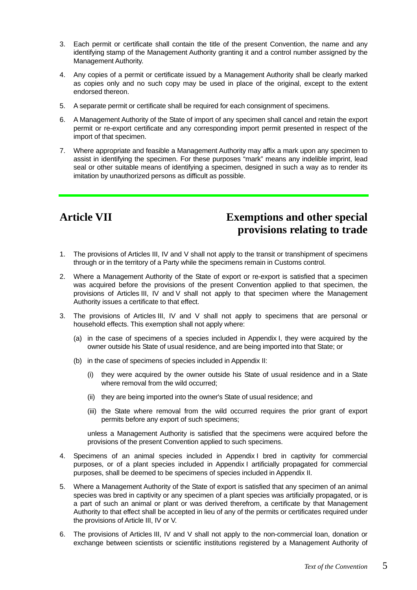- 3. Each permit or certificate shall contain the title of the present Convention, the name and any identifying stamp of the Management Authority granting it and a control number assigned by the Management Authority.
- 4. Any copies of a permit or certificate issued by a Management Authority shall be clearly marked as copies only and no such copy may be used in place of the original, except to the extent endorsed thereon.
- 5. A separate permit or certificate shall be required for each consignment of specimens.
- 6. A Management Authority of the State of import of any specimen shall cancel and retain the export permit or re-export certificate and any corresponding import permit presented in respect of the import of that specimen.
- 7. Where appropriate and feasible a Management Authority may affix a mark upon any specimen to assist in identifying the specimen. For these purposes "mark" means any indelible imprint, lead seal or other suitable means of identifying a specimen, designed in such a way as to render its imitation by unauthorized persons as difficult as possible.

## <span id="page-6-0"></span>**Article VII Exemptions and other special provisions relating to trade**

- 1. The provisions of Articles III, IV and V shall not apply to the transit or transhipment of specimens through or in the territory of a Party while the specimens remain in Customs control.
- 2. Where a Management Authority of the State of export or re-export is satisfied that a specimen was acquired before the provisions of the present Convention applied to that specimen, the provisions of Articles III, IV and V shall not apply to that specimen where the Management Authority issues a certificate to that effect.
- 3. The provisions of Articles III, IV and V shall not apply to specimens that are personal or household effects. This exemption shall not apply where:
	- (a) in the case of specimens of a species included in Appendix I, they were acquired by the owner outside his State of usual residence, and are being imported into that State; or
	- (b) in the case of specimens of species included in Appendix II:
		- (i) they were acquired by the owner outside his State of usual residence and in a State where removal from the wild occurred;
		- (ii) they are being imported into the owner's State of usual residence; and
		- (iii) the State where removal from the wild occurred requires the prior grant of export permits before any export of such specimens;

 unless a Management Authority is satisfied that the specimens were acquired before the provisions of the present Convention applied to such specimens.

- 4. Specimens of an animal species included in Appendix I bred in captivity for commercial purposes, or of a plant species included in Appendix I artificially propagated for commercial purposes, shall be deemed to be specimens of species included in Appendix II.
- 5. Where a Management Authority of the State of export is satisfied that any specimen of an animal species was bred in captivity or any specimen of a plant species was artificially propagated, or is a part of such an animal or plant or was derived therefrom, a certificate by that Management Authority to that effect shall be accepted in lieu of any of the permits or certificates required under the provisions of Article III, IV or V.
- 6. The provisions of Articles III, IV and V shall not apply to the non-commercial loan, donation or exchange between scientists or scientific institutions registered by a Management Authority of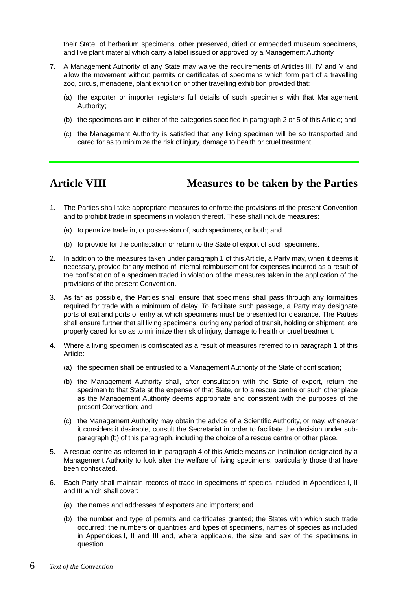their State, of herbarium specimens, other preserved, dried or embedded museum specimens, and live plant material which carry a label issued or approved by a Management Authority.

- 7. A Management Authority of any State may waive the requirements of Articles III, IV and V and allow the movement without permits or certificates of specimens which form part of a travelling zoo, circus, menagerie, plant exhibition or other travelling exhibition provided that:
	- (a) the exporter or importer registers full details of such specimens with that Management Authority;
	- (b) the specimens are in either of the categories specified in paragraph 2 or 5 of this Article; and
	- (c) the Management Authority is satisfied that any living specimen will be so transported and cared for as to minimize the risk of injury, damage to health or cruel treatment.

## <span id="page-7-0"></span>**Article VIII Measures to be taken by the Parties**

- 1. The Parties shall take appropriate measures to enforce the provisions of the present Convention and to prohibit trade in specimens in violation thereof. These shall include measures:
	- (a) to penalize trade in, or possession of, such specimens, or both; and
	- (b) to provide for the confiscation or return to the State of export of such specimens.
- 2. In addition to the measures taken under paragraph 1 of this Article, a Party may, when it deems it necessary, provide for any method of internal reimbursement for expenses incurred as a result of the confiscation of a specimen traded in violation of the measures taken in the application of the provisions of the present Convention.
- 3. As far as possible, the Parties shall ensure that specimens shall pass through any formalities required for trade with a minimum of delay. To facilitate such passage, a Party may designate ports of exit and ports of entry at which specimens must be presented for clearance. The Parties shall ensure further that all living specimens, during any period of transit, holding or shipment, are properly cared for so as to minimize the risk of injury, damage to health or cruel treatment.
- 4. Where a living specimen is confiscated as a result of measures referred to in paragraph 1 of this Article:
	- (a) the specimen shall be entrusted to a Management Authority of the State of confiscation;
	- (b) the Management Authority shall, after consultation with the State of export, return the specimen to that State at the expense of that State, or to a rescue centre or such other place as the Management Authority deems appropriate and consistent with the purposes of the present Convention; and
	- (c) the Management Authority may obtain the advice of a Scientific Authority, or may, whenever it considers it desirable, consult the Secretariat in order to facilitate the decision under subparagraph (b) of this paragraph, including the choice of a rescue centre or other place.
- 5. A rescue centre as referred to in paragraph 4 of this Article means an institution designated by a Management Authority to look after the welfare of living specimens, particularly those that have been confiscated.
- 6. Each Party shall maintain records of trade in specimens of species included in Appendices I, II and III which shall cover:
	- (a) the names and addresses of exporters and importers; and
	- (b) the number and type of permits and certificates granted; the States with which such trade occurred; the numbers or quantities and types of specimens, names of species as included in Appendices I, II and III and, where applicable, the size and sex of the specimens in question.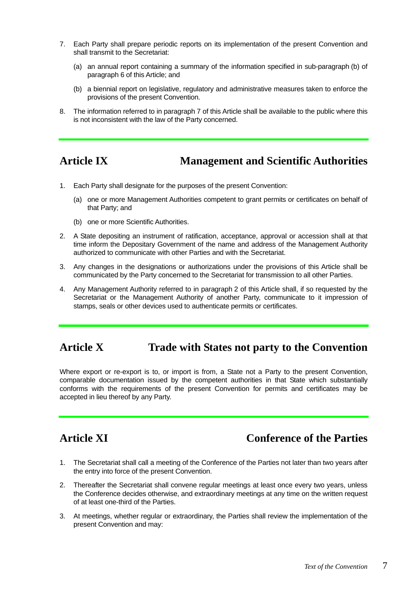- 7. Each Party shall prepare periodic reports on its implementation of the present Convention and shall transmit to the Secretariat:
	- (a) an annual report containing a summary of the information specified in sub-paragraph (b) of paragraph 6 of this Article; and
	- (b) a biennial report on legislative, regulatory and administrative measures taken to enforce the provisions of the present Convention.
- 8. The information referred to in paragraph 7 of this Article shall be available to the public where this is not inconsistent with the law of the Party concerned.

## <span id="page-8-0"></span>**Article IX Management and Scientific Authorities**

- 1. Each Party shall designate for the purposes of the present Convention:
	- (a) one or more Management Authorities competent to grant permits or certificates on behalf of that Party; and
	- (b) one or more Scientific Authorities.
- 2. A State depositing an instrument of ratification, acceptance, approval or accession shall at that time inform the Depositary Government of the name and address of the Management Authority authorized to communicate with other Parties and with the Secretariat.
- 3. Any changes in the designations or authorizations under the provisions of this Article shall be communicated by the Party concerned to the Secretariat for transmission to all other Parties.
- 4. Any Management Authority referred to in paragraph 2 of this Article shall, if so requested by the Secretariat or the Management Authority of another Party, communicate to it impression of stamps, seals or other devices used to authenticate permits or certificates.

## <span id="page-8-1"></span>**Article X Trade with States not party to the Convention**

Where export or re-export is to, or import is from, a State not a Party to the present Convention, comparable documentation issued by the competent authorities in that State which substantially conforms with the requirements of the present Convention for permits and certificates may be accepted in lieu thereof by any Party.

## <span id="page-8-2"></span>**Article XI Conference of the Parties**

- 1. The Secretariat shall call a meeting of the Conference of the Parties not later than two years after the entry into force of the present Convention.
- 2. Thereafter the Secretariat shall convene regular meetings at least once every two years, unless the Conference decides otherwise, and extraordinary meetings at any time on the written request of at least one-third of the Parties.
- 3. At meetings, whether regular or extraordinary, the Parties shall review the implementation of the present Convention and may: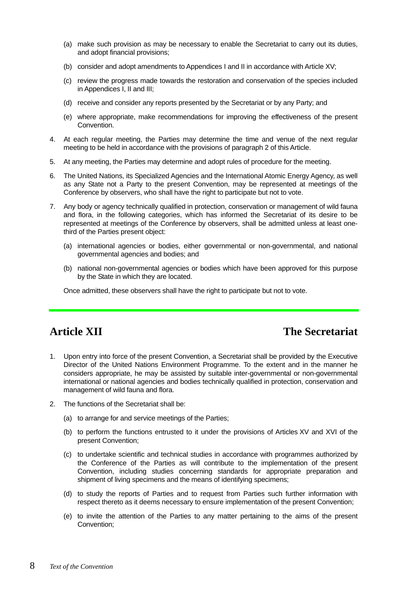- (a) make such provision as may be necessary to enable the Secretariat to carry out its duties, and adopt financial provisions;
- (b) consider and adopt amendments to Appendices I and II in accordance with Article XV;
- (c) review the progress made towards the restoration and conservation of the species included in Appendices I, II and III;
- (d) receive and consider any reports presented by the Secretariat or by any Party; and
- (e) where appropriate, make recommendations for improving the effectiveness of the present Convention.
- 4. At each regular meeting, the Parties may determine the time and venue of the next regular meeting to be held in accordance with the provisions of paragraph 2 of this Article.
- 5. At any meeting, the Parties may determine and adopt rules of procedure for the meeting.
- 6. The United Nations, its Specialized Agencies and the International Atomic Energy Agency, as well as any State not a Party to the present Convention, may be represented at meetings of the Conference by observers, who shall have the right to participate but not to vote.
- 7. Any body or agency technically qualified in protection, conservation or management of wild fauna and flora, in the following categories, which has informed the Secretariat of its desire to be represented at meetings of the Conference by observers, shall be admitted unless at least onethird of the Parties present object:
	- (a) international agencies or bodies, either governmental or non-governmental, and national governmental agencies and bodies; and
	- (b) national non-governmental agencies or bodies which have been approved for this purpose by the State in which they are located.

Once admitted, these observers shall have the right to participate but not to vote.

## <span id="page-9-0"></span>**Article XII** The Secretariat

- 1. Upon entry into force of the present Convention, a Secretariat shall be provided by the Executive Director of the United Nations Environment Programme. To the extent and in the manner he considers appropriate, he may be assisted by suitable inter-governmental or non-governmental international or national agencies and bodies technically qualified in protection, conservation and management of wild fauna and flora.
- 2. The functions of the Secretariat shall be:
	- (a) to arrange for and service meetings of the Parties;
	- (b) to perform the functions entrusted to it under the provisions of Articles XV and XVI of the present Convention;
	- (c) to undertake scientific and technical studies in accordance with programmes authorized by the Conference of the Parties as will contribute to the implementation of the present Convention, including studies concerning standards for appropriate preparation and shipment of living specimens and the means of identifying specimens;
	- (d) to study the reports of Parties and to request from Parties such further information with respect thereto as it deems necessary to ensure implementation of the present Convention;
	- (e) to invite the attention of the Parties to any matter pertaining to the aims of the present Convention;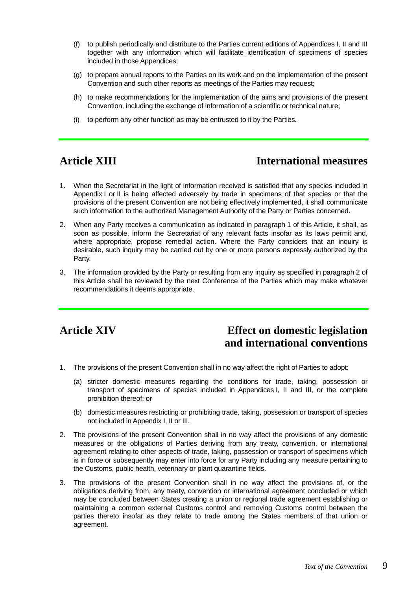- (f) to publish periodically and distribute to the Parties current editions of Appendices I, II and III together with any information which will facilitate identification of specimens of species included in those Appendices;
- (g) to prepare annual reports to the Parties on its work and on the implementation of the present Convention and such other reports as meetings of the Parties may request;
- (h) to make recommendations for the implementation of the aims and provisions of the present Convention, including the exchange of information of a scientific or technical nature;
- (i) to perform any other function as may be entrusted to it by the Parties.

## <span id="page-10-0"></span>**Article XIII 120 International measures**

- 1. When the Secretariat in the light of information received is satisfied that any species included in Appendix I or II is being affected adversely by trade in specimens of that species or that the provisions of the present Convention are not being effectively implemented, it shall communicate such information to the authorized Management Authority of the Party or Parties concerned.
- 2. When any Party receives a communication as indicated in paragraph 1 of this Article, it shall, as soon as possible, inform the Secretariat of any relevant facts insofar as its laws permit and, where appropriate, propose remedial action. Where the Party considers that an inquiry is desirable, such inquiry may be carried out by one or more persons expressly authorized by the Party.
- 3. The information provided by the Party or resulting from any inquiry as specified in paragraph 2 of this Article shall be reviewed by the next Conference of the Parties which may make whatever recommendations it deems appropriate.

## <span id="page-10-1"></span>**Article XIV Effect on domestic legislation and international conventions**

- 1. The provisions of the present Convention shall in no way affect the right of Parties to adopt:
	- (a) stricter domestic measures regarding the conditions for trade, taking, possession or transport of specimens of species included in Appendices I, II and III, or the complete prohibition thereof; or
	- (b) domestic measures restricting or prohibiting trade, taking, possession or transport of species not included in Appendix I, II or III.
- 2. The provisions of the present Convention shall in no way affect the provisions of any domestic measures or the obligations of Parties deriving from any treaty, convention, or international agreement relating to other aspects of trade, taking, possession or transport of specimens which is in force or subsequently may enter into force for any Party including any measure pertaining to the Customs, public health, veterinary or plant quarantine fields.
- 3. The provisions of the present Convention shall in no way affect the provisions of, or the obligations deriving from, any treaty, convention or international agreement concluded or which may be concluded between States creating a union or regional trade agreement establishing or maintaining a common external Customs control and removing Customs control between the parties thereto insofar as they relate to trade among the States members of that union or agreement.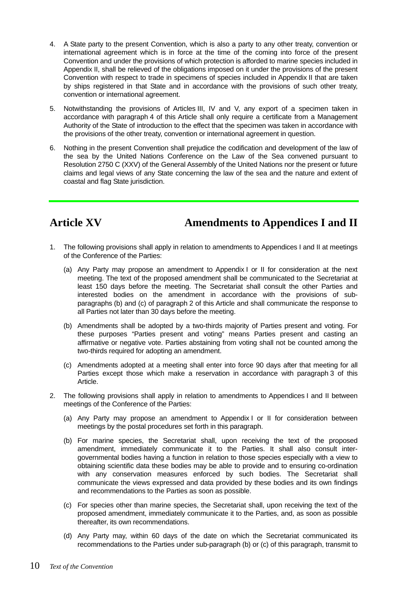- 4. A State party to the present Convention, which is also a party to any other treaty, convention or international agreement which is in force at the time of the coming into force of the present Convention and under the provisions of which protection is afforded to marine species included in Appendix II, shall be relieved of the obligations imposed on it under the provisions of the present Convention with respect to trade in specimens of species included in Appendix II that are taken by ships registered in that State and in accordance with the provisions of such other treaty, convention or international agreement.
- 5. Notwithstanding the provisions of Articles III, IV and V, any export of a specimen taken in accordance with paragraph 4 of this Article shall only require a certificate from a Management Authority of the State of introduction to the effect that the specimen was taken in accordance with the provisions of the other treaty, convention or international agreement in question.
- 6. Nothing in the present Convention shall prejudice the codification and development of the law of the sea by the United Nations Conference on the Law of the Sea convened pursuant to Resolution 2750 C (XXV) of the General Assembly of the United Nations nor the present or future claims and legal views of any State concerning the law of the sea and the nature and extent of coastal and flag State jurisdiction.

## <span id="page-11-0"></span>**Article XV Amendments to Appendices I and II**

- 1. The following provisions shall apply in relation to amendments to Appendices I and II at meetings of the Conference of the Parties:
	- (a) Any Party may propose an amendment to Appendix I or II for consideration at the next meeting. The text of the proposed amendment shall be communicated to the Secretariat at least 150 days before the meeting. The Secretariat shall consult the other Parties and interested bodies on the amendment in accordance with the provisions of subparagraphs (b) and (c) of paragraph 2 of this Article and shall communicate the response to all Parties not later than 30 days before the meeting.
	- (b) Amendments shall be adopted by a two-thirds majority of Parties present and voting. For these purposes "Parties present and voting" means Parties present and casting an affirmative or negative vote. Parties abstaining from voting shall not be counted among the two-thirds required for adopting an amendment.
	- (c) Amendments adopted at a meeting shall enter into force 90 days after that meeting for all Parties except those which make a reservation in accordance with paragraph 3 of this Article.
- 2. The following provisions shall apply in relation to amendments to Appendices I and II between meetings of the Conference of the Parties:
	- (a) Any Party may propose an amendment to Appendix I or II for consideration between meetings by the postal procedures set forth in this paragraph.
	- (b) For marine species, the Secretariat shall, upon receiving the text of the proposed amendment, immediately communicate it to the Parties. It shall also consult intergovernmental bodies having a function in relation to those species especially with a view to obtaining scientific data these bodies may be able to provide and to ensuring co-ordination with any conservation measures enforced by such bodies. The Secretariat shall communicate the views expressed and data provided by these bodies and its own findings and recommendations to the Parties as soon as possible.
	- (c) For species other than marine species, the Secretariat shall, upon receiving the text of the proposed amendment, immediately communicate it to the Parties, and, as soon as possible thereafter, its own recommendations.
	- (d) Any Party may, within 60 days of the date on which the Secretariat communicated its recommendations to the Parties under sub-paragraph (b) or (c) of this paragraph, transmit to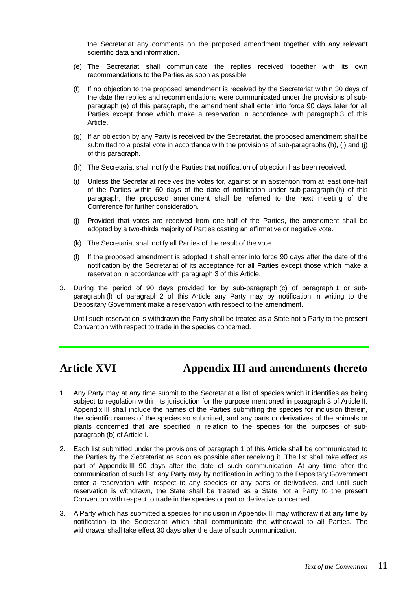the Secretariat any comments on the proposed amendment together with any relevant scientific data and information.

- (e) The Secretariat shall communicate the replies received together with its own recommendations to the Parties as soon as possible.
- (f) If no objection to the proposed amendment is received by the Secretariat within 30 days of the date the replies and recommendations were communicated under the provisions of subparagraph (e) of this paragraph, the amendment shall enter into force 90 days later for all Parties except those which make a reservation in accordance with paragraph 3 of this Article.
- (g) If an objection by any Party is received by the Secretariat, the proposed amendment shall be submitted to a postal vote in accordance with the provisions of sub-paragraphs (h), (i) and (j) of this paragraph.
- (h) The Secretariat shall notify the Parties that notification of objection has been received.
- (i) Unless the Secretariat receives the votes for, against or in abstention from at least one-half of the Parties within 60 days of the date of notification under sub-paragraph (h) of this paragraph, the proposed amendment shall be referred to the next meeting of the Conference for further consideration.
- (j) Provided that votes are received from one-half of the Parties, the amendment shall be adopted by a two-thirds majority of Parties casting an affirmative or negative vote.
- (k) The Secretariat shall notify all Parties of the result of the vote.
- (l) If the proposed amendment is adopted it shall enter into force 90 days after the date of the notification by the Secretariat of its acceptance for all Parties except those which make a reservation in accordance with paragraph 3 of this Article.
- 3. During the period of 90 days provided for by sub-paragraph (c) of paragraph 1 or subparagraph (l) of paragraph 2 of this Article any Party may by notification in writing to the Depositary Government make a reservation with respect to the amendment.

 Until such reservation is withdrawn the Party shall be treated as a State not a Party to the present Convention with respect to trade in the species concerned.

## <span id="page-12-0"></span>**Article XVI Appendix III and amendments thereto**

- 1. Any Party may at any time submit to the Secretariat a list of species which it identifies as being subject to regulation within its jurisdiction for the purpose mentioned in paragraph 3 of Article II. Appendix III shall include the names of the Parties submitting the species for inclusion therein, the scientific names of the species so submitted, and any parts or derivatives of the animals or plants concerned that are specified in relation to the species for the purposes of subparagraph (b) of Article I.
- 2. Each list submitted under the provisions of paragraph 1 of this Article shall be communicated to the Parties by the Secretariat as soon as possible after receiving it. The list shall take effect as part of Appendix III 90 days after the date of such communication. At any time after the communication of such list, any Party may by notification in writing to the Depositary Government enter a reservation with respect to any species or any parts or derivatives, and until such reservation is withdrawn, the State shall be treated as a State not a Party to the present Convention with respect to trade in the species or part or derivative concerned.
- 3. A Party which has submitted a species for inclusion in Appendix III may withdraw it at any time by notification to the Secretariat which shall communicate the withdrawal to all Parties. The withdrawal shall take effect 30 days after the date of such communication.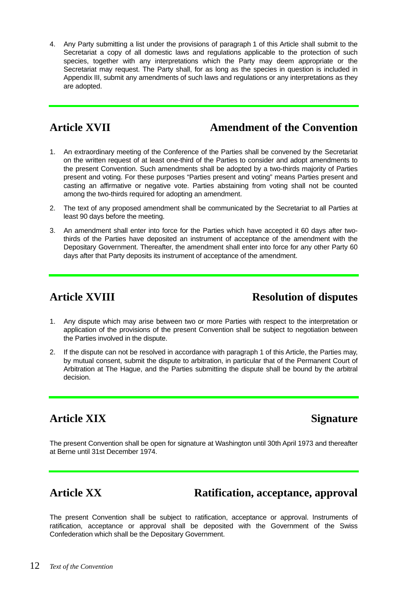4. Any Party submitting a list under the provisions of paragraph 1 of this Article shall submit to the Secretariat a copy of all domestic laws and regulations applicable to the protection of such species, together with any interpretations which the Party may deem appropriate or the Secretariat may request. The Party shall, for as long as the species in question is included in Appendix III, submit any amendments of such laws and regulations or any interpretations as they are adopted.

## <span id="page-13-0"></span>Article XVII **Amendment of the Convention**

- 1. An extraordinary meeting of the Conference of the Parties shall be convened by the Secretariat on the written request of at least one-third of the Parties to consider and adopt amendments to the present Convention. Such amendments shall be adopted by a two-thirds majority of Parties present and voting. For these purposes "Parties present and voting" means Parties present and casting an affirmative or negative vote. Parties abstaining from voting shall not be counted among the two-thirds required for adopting an amendment.
- 2. The text of any proposed amendment shall be communicated by the Secretariat to all Parties at least 90 days before the meeting.
- 3. An amendment shall enter into force for the Parties which have accepted it 60 days after twothirds of the Parties have deposited an instrument of acceptance of the amendment with the Depositary Government. Thereafter, the amendment shall enter into force for any other Party 60 days after that Party deposits its instrument of acceptance of the amendment.

## <span id="page-13-1"></span>**Article XVIII Resolution of disputes**

- 1. Any dispute which may arise between two or more Parties with respect to the interpretation or application of the provisions of the present Convention shall be subject to negotiation between the Parties involved in the dispute.
- 2. If the dispute can not be resolved in accordance with paragraph 1 of this Article, the Parties may, by mutual consent, submit the dispute to arbitration, in particular that of the Permanent Court of Arbitration at The Hague, and the Parties submitting the dispute shall be bound by the arbitral decision.

## <span id="page-13-2"></span>**Article XIX Signature**

The present Convention shall be open for signature at Washington until 30th April 1973 and thereafter at Berne until 31st December 1974.

## <span id="page-13-3"></span>Article XX Ratification, acceptance, approval

The present Convention shall be subject to ratification, acceptance or approval. Instruments of ratification, acceptance or approval shall be deposited with the Government of the Swiss Confederation which shall be the Depositary Government.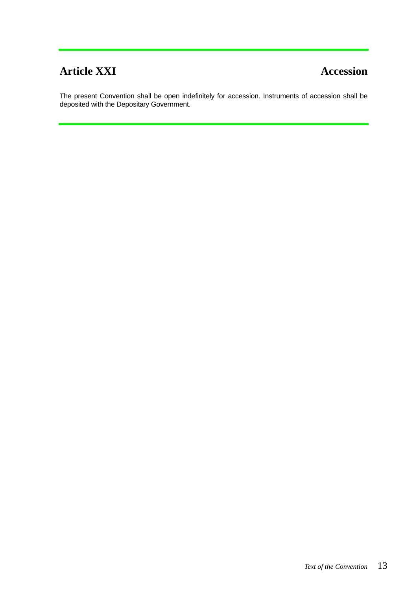# <span id="page-14-0"></span>**Article XXI Accession**

The present Convention shall be open indefinitely for accession. Instruments of accession shall be deposited with the Depositary Government.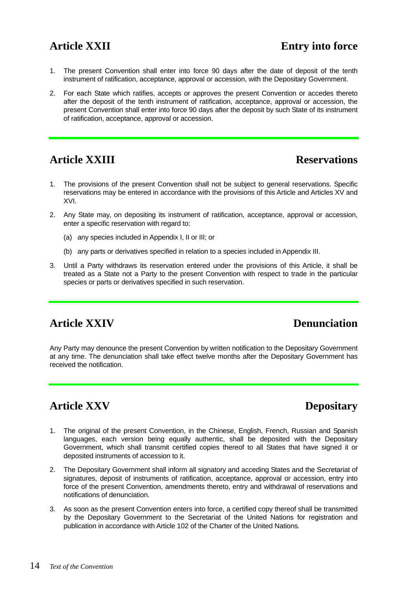- <span id="page-15-0"></span>1. The present Convention shall enter into force 90 days after the date of deposit of the tenth instrument of ratification, acceptance, approval or accession, with the Depositary Government.
- 2. For each State which ratifies, accepts or approves the present Convention or accedes thereto after the deposit of the tenth instrument of ratification, acceptance, approval or accession, the present Convention shall enter into force 90 days after the deposit by such State of its instrument of ratification, acceptance, approval or accession.

## <span id="page-15-1"></span>**Article XXIII** Reservations

- 1. The provisions of the present Convention shall not be subject to general reservations. Specific reservations may be entered in accordance with the provisions of this Article and Articles XV and XVI.
- 2. Any State may, on depositing its instrument of ratification, acceptance, approval or accession, enter a specific reservation with regard to:
	- (a) any species included in Appendix I, II or III; or
	- (b) any parts or derivatives specified in relation to a species included in Appendix III.
- 3. Until a Party withdraws its reservation entered under the provisions of this Article, it shall be treated as a State not a Party to the present Convention with respect to trade in the particular species or parts or derivatives specified in such reservation.

## <span id="page-15-2"></span>**Article XXIV** Denunciation

Any Party may denounce the present Convention by written notification to the Depositary Government at any time. The denunciation shall take effect twelve months after the Depositary Government has received the notification.

## <span id="page-15-3"></span>**Article XXV** Depositary

- 1. The original of the present Convention, in the Chinese, English, French, Russian and Spanish languages, each version being equally authentic, shall be deposited with the Depositary Government, which shall transmit certified copies thereof to all States that have signed it or deposited instruments of accession to it.
- 2. The Depositary Government shall inform all signatory and acceding States and the Secretariat of signatures, deposit of instruments of ratification, acceptance, approval or accession, entry into force of the present Convention, amendments thereto, entry and withdrawal of reservations and notifications of denunciation.
- 3. As soon as the present Convention enters into force, a certified copy thereof shall be transmitted by the Depositary Government to the Secretariat of the United Nations for registration and publication in accordance with Article 102 of the Charter of the United Nations.